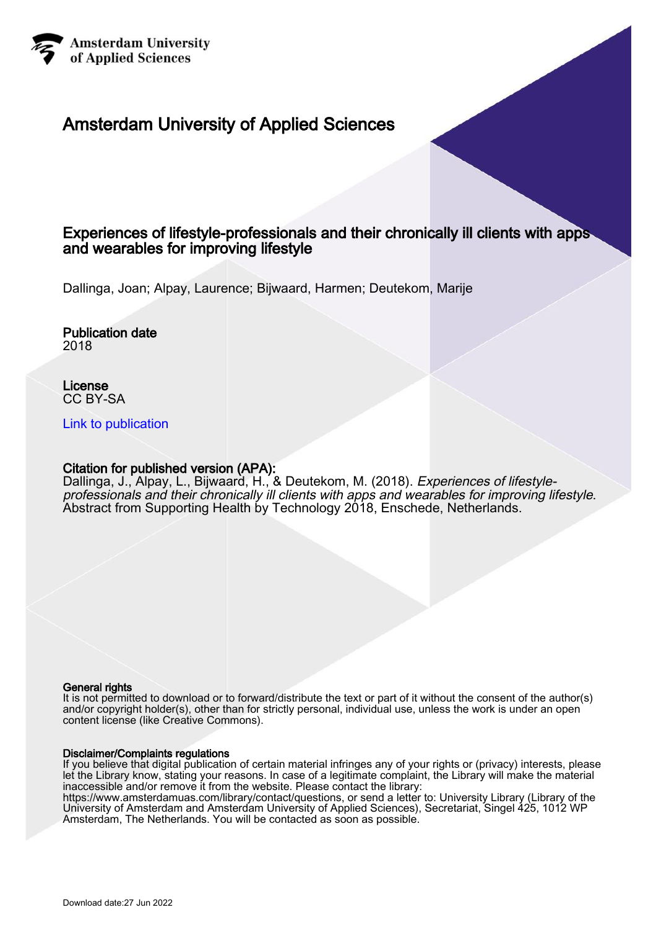

#### Amsterdam University of Applied Sciences

#### Experiences of lifestyle-professionals and their chronically ill clients with apps and wearables for improving lifestyle

Dallinga, Joan; Alpay, Laurence; Bijwaard, Harmen; Deutekom, Marije

Publication date 2018

License CC BY-SA

[Link to publication](https://research.hva.nl/en/publications/7d726b53-2291-45fe-9821-c0a6bfbc4aa6)

#### Citation for published version (APA):

Dallinga, J., Alpay, L., Bijwaard, H., & Deutekom, M. (2018). *Experiences of lifestyle*professionals and their chronically ill clients with apps and wearables for improving lifestyle. Abstract from Supporting Health by Technology 2018, Enschede, Netherlands.

#### General rights

It is not permitted to download or to forward/distribute the text or part of it without the consent of the author(s) and/or copyright holder(s), other than for strictly personal, individual use, unless the work is under an open content license (like Creative Commons).

#### Disclaimer/Complaints regulations

If you believe that digital publication of certain material infringes any of your rights or (privacy) interests, please let the Library know, stating your reasons. In case of a legitimate complaint, the Library will make the material inaccessible and/or remove it from the website. Please contact the library:

https://www.amsterdamuas.com/library/contact/questions, or send a letter to: University Library (Library of the University of Amsterdam and Amsterdam University of Applied Sciences), Secretariat, Singel 425, 1012 WP Amsterdam, The Netherlands. You will be contacted as soon as possible.